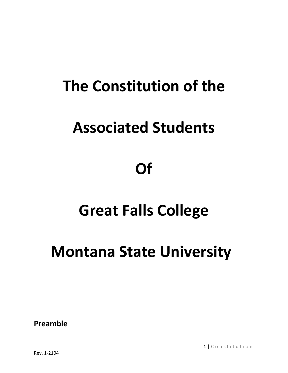# **The Constitution of the**

# **Associated Students**

# **Of**

# **Great Falls College**

# **Montana State University**

**Preamble**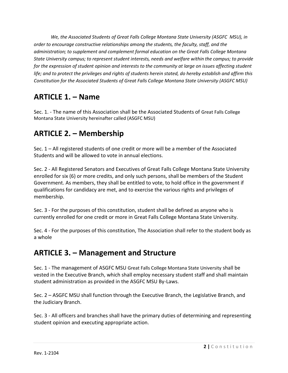*We, the Associated Students of Great Falls College Montana State University (ASGFC MSU), in order to encourage constructive relationships among the students, the faculty, staff, and the administration; to supplement and complement formal education on the Great Falls College Montana State University campus; to represent student interests, needs and welfare within the campus; to provide*  for the expression of student opinion and interests to the community at large on issues affecting student *life; and to protect the privileges and rights of students herein stated, do hereby establish and affirm this Constitution for the Associated Students of Great Falls College Montana State University (ASGFC MSU)*

#### **ARTICLE 1. – Name**

Sec. 1. - The name of this Association shall be the Associated Students of Great Falls College Montana State University hereinafter called (ASGFC MSU)

### **ARTICLE 2. – Membership**

Sec. 1 – All registered students of one credit or more will be a member of the Associated Students and will be allowed to vote in annual elections.

Sec. 2 - All Registered Senators and Executives of Great Falls College Montana State University enrolled for six (6) or more credits, and only such persons, shall be members of the Student Government. As members, they shall be entitled to vote, to hold office in the government if qualifications for candidacy are met, and to exercise the various rights and privileges of membership.

Sec. 3 - For the purposes of this constitution, student shall be defined as anyone who is currently enrolled for one credit or more in Great Falls College Montana State University.

Sec. 4 - For the purposes of this constitution, The Association shall refer to the student body as a whole

#### **ARTICLE 3. – Management and Structure**

Sec. 1 - The management of ASGFC MSU Great Falls College Montana State University shall be vested in the Executive Branch, which shall employ necessary student staff and shall maintain student administration as provided in the ASGFC MSU By-Laws.

Sec. 2 – ASGFC MSU shall function through the Executive Branch, the Legislative Branch, and the Judiciary Branch.

Sec. 3 - All officers and branches shall have the primary duties of determining and representing student opinion and executing appropriate action.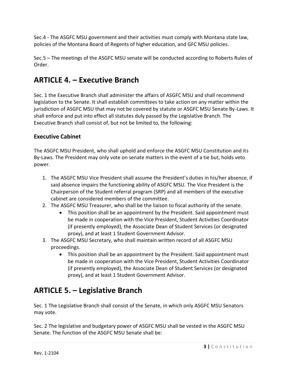Sec.4 - The ASGFC MSU government and their activities must comply with Montana state law, policies of the Montana Board of Regents of higher education, and GFC MSU policies.

Sec.5 – The meetings of the ASGFC MSU senate will be conducted according to Roberts Rules of Order.

### **ARTICLE 4. – Executive Branch**

Sec. 1 the Executive Branch shall administer the affairs of ASGFC MSU and shall recommend legislation to the Senate. It shall establish committees to take action on any matter within the jurisdiction of ASGFC MSU that may not be covered by statute or ASGFC MSU Senate By-Laws. It shall enforce and put into effect all statutes duly passed by the Legislative Branch. The Executive Branch shall consist of, but not be limited to, the following:

#### **Executive Cabinet**

The ASGFC MSU President, who shall uphold and enforce the ASGFC MSU Constitution and its By-Laws. The President may only vote on senate matters in the event of a tie but, holds veto power.

- 1. The ASGFC MSU Vice President shall assume the President's duties in his/her absence, if said absence impairs the functioning ability of ASGFC MSU. The Vice President is the Chairperson of the Student referral program (SRP) and all members of the executive cabinet are considered members of the committee.
- 2. The ASGFC MSU Treasurer, who shall be the liaison to fiscal authority of the senate.
	- This position shall be an appointment by the President. Said appointment must be made in cooperation with the Vice President, Student Activities Coordinator (if presently employed), the Associate Dean of Student Services (or designated proxy), and at least 1 Student Government Advisor.
- 3. The ASGFC MSU Secretary, who shall maintain written record of all ASGFC MSU proceedings.
	- This position shall be an appointment by the President. Said appointment must be made in cooperation with the Vice President, Student Activities Coordinator (if presently employed), the Associate Dean of Student Services (or designated proxy), and at least 1 Student Government Advisor.

### **ARTICLE 5. – Legislative Branch**

Sec. 1 The Legislative Branch shall consist of the Senate, in which only ASGFC MSU Senators may vote.

Sec. 2 The legislative and budgetary power of ASGFC MSU shall be vested in the ASGFC MSU Senate. The function of the ASGFC MSU Senate shall be: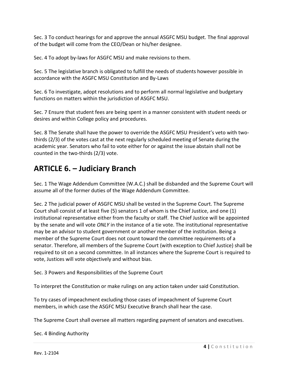Sec. 3 To conduct hearings for and approve the annual ASGFC MSU budget. The final approval of the budget will come from the CEO/Dean or his/her designee.

Sec. 4 To adopt by-laws for ASGFC MSU and make revisions to them.

Sec. 5 The legislative branch is obligated to fulfill the needs of students however possible in accordance with the ASGFC MSU Constitution and By-Laws

Sec. 6 To investigate, adopt resolutions and to perform all normal legislative and budgetary functions on matters within the jurisdiction of ASGFC MSU.

Sec. 7 Ensure that student fees are being spent in a manner consistent with student needs or desires and within College policy and procedures.

Sec. 8 The Senate shall have the power to override the ASGFC MSU President's veto with twothirds (2/3) of the votes cast at the next regularly scheduled meeting of Senate during the academic year. Senators who fail to vote either for or against the issue abstain shall not be counted in the two-thirds (2/3) vote.

### **ARTICLE 6. – Judiciary Branch**

Sec. 1 The Wage Addendum Committee (W.A.C.) shall be disbanded and the Supreme Court will assume all of the former duties of the Wage Addendum Committee.

Sec. 2 The judicial power of ASGFC MSU shall be vested in the Supreme Court. The Supreme Court shall consist of at least five (5) senators 1 of whom is the Chief Justice, and one (1) institutional representative either from the faculty or staff. The Chief Justice will be appointed by the senate and will vote *ONLY* in the instance of a tie vote. The institutional representative may be an advisor to student government or another member of the institution. Being a member of the Supreme Court does not count toward the committee requirements of a senator. Therefore, all members of the Supreme Court (with exception to Chief Justice) shall be required to sit on a second committee. In all instances where the Supreme Court is required to vote, Justices will vote objectively and without bias.

Sec. 3 Powers and Responsibilities of the Supreme Court

To interpret the Constitution or make rulings on any action taken under said Constitution.

To try cases of impeachment excluding those cases of impeachment of Supreme Court members, in which case the ASGFC MSU Executive Branch shall hear the case.

The Supreme Court shall oversee all matters regarding payment of senators and executives.

Sec. 4 Binding Authority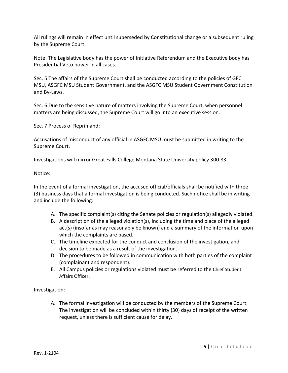All rulings will remain in effect until superseded by Constitutional change or a subsequent ruling by the Supreme Court.

Note: The Legislative body has the power of Initiative Referendum and the Executive body has Presidential Veto power in all cases.

Sec. 5 The affairs of the Supreme Court shall be conducted according to the policies of GFC MSU, ASGFC MSU Student Government, and the ASGFC MSU Student Government Constitution and By-Laws.

Sec. 6 Due to the sensitive nature of matters involving the Supreme Court, when personnel matters are being discussed, the Supreme Court will go into an executive session.

Sec. 7 Process of Reprimand:

Accusations of misconduct of any official in ASGFC MSU must be submitted in writing to the Supreme Court.

Investigations will mirror Great Falls College Montana State University policy 300.83.

Notice:

In the event of a formal investigation, the accused official/officials shall be notified with three (3) business days that a formal investigation is being conducted. Such notice shall be in writing and include the following:

- A. The specific complaint(s) citing the Senate policies or regulation(s) allegedly violated.
- B. A description of the alleged violation(s), including the time and place of the alleged act(s) (insofar as may reasonably be known) and a summary of the information upon which the complaints are based.
- C. The timeline expected for the conduct and conclusion of the investigation, and decision to be made as a result of the investigation.
- D. The procedures to be followed in communication with both parties of the complaint (complainant and respondent).
- E. All Campus policies or regulations violated must be referred to the Chief Student Affairs Officer.

Investigation:

A. The formal investigation will be conducted by the members of the Supreme Court. The investigation will be concluded within thirty (30) days of receipt of the written request, unless there is sufficient cause for delay.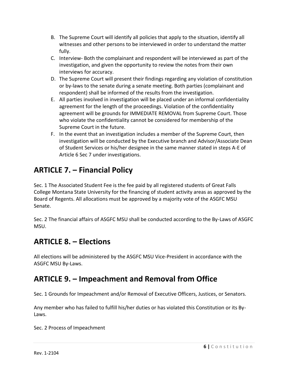- B. The Supreme Court will identify all policies that apply to the situation, identify all witnesses and other persons to be interviewed in order to understand the matter fully.
- C. Interview- Both the complainant and respondent will be interviewed as part of the investigation, and given the opportunity to review the notes from their own interviews for accuracy.
- D. The Supreme Court will present their findings regarding any violation of constitution or by-laws to the senate during a senate meeting. Both parties (complainant and respondent) shall be informed of the results from the investigation.
- E. All parties involved in investigation will be placed under an informal confidentiality agreement for the length of the proceedings. Violation of the confidentiality agreement will be grounds for IMMEDIATE REMOVAL from Supreme Court. Those who violate the confidentiality cannot be considered for membership of the Supreme Court in the future.
- F. In the event that an investigation includes a member of the Supreme Court, then investigation will be conducted by the Executive branch and Advisor/Associate Dean of Student Services or his/her designee in the same manner stated in steps A-E of Article 6 Sec 7 under investigations.

## **ARTICLE 7. – Financial Policy**

Sec. 1 The Associated Student Fee is the fee paid by all registered students of Great Falls College Montana State University for the financing of student activity areas as approved by the Board of Regents. All allocations must be approved by a majority vote of the ASGFC MSU Senate.

Sec. 2 The financial affairs of ASGFC MSU shall be conducted according to the By-Laws of ASGFC MSU.

### **ARTICLE 8. – Elections**

All elections will be administered by the ASGFC MSU Vice-President in accordance with the ASGFC MSU By-Laws.

### **ARTICLE 9. – Impeachment and Removal from Office**

Sec. 1 Grounds for Impeachment and/or Removal of Executive Officers, Justices, or Senators.

Any member who has failed to fulfill his/her duties or has violated this Constitution or its By-Laws.

Sec. 2 Process of Impeachment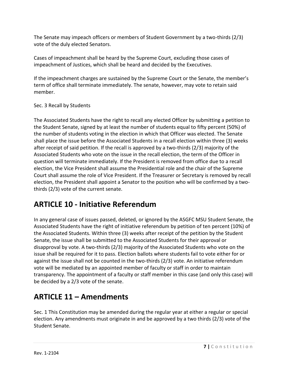The Senate may impeach officers or members of Student Government by a two-thirds (2/3) vote of the duly elected Senators.

Cases of impeachment shall be heard by the Supreme Court, excluding those cases of impeachment of Justices, which shall be heard and decided by the Executives.

If the impeachment charges are sustained by the Supreme Court or the Senate, the member's term of office shall terminate immediately. The senate, however, may vote to retain said member.

#### Sec. 3 Recall by Students

The Associated Students have the right to recall any elected Officer by submitting a petition to the Student Senate, signed by at least the number of students equal to fifty percent (50%) of the number of students voting in the election in which that Officer was elected. The Senate shall place the issue before the Associated Students in a recall election within three (3) weeks after receipt of said petition. If the recall is approved by a two-thirds (2/3) majority of the Associated Students who vote on the issue in the recall election, the term of the Officer in question will terminate immediately. If the President is removed from office due to a recall election, the Vice President shall assume the Presidential role and the chair of the Supreme Court shall assume the role of Vice President. If the Treasurer or Secretary is removed by recall election, the President shall appoint a Senator to the position who will be confirmed by a twothirds (2/3) vote of the current senate.

#### **ARTICLE 10 - Initiative Referendum**

In any general case of issues passed, deleted, or ignored by the ASGFC MSU Student Senate, the Associated Students have the right of initiative referendum by petition of ten percent (10%) of the Associated Students. Within three (3) weeks after receipt of the petition by the Student Senate, the issue shall be submitted to the Associated Students for their approval or disapproval by vote. A two-thirds (2/3) majority of the Associated Students who vote on the issue shall be required for it to pass. Election ballots where students fail to vote either for or against the issue shall not be counted in the two-thirds (2/3) vote. An initiative referendum vote will be mediated by an appointed member of faculty or staff in order to maintain transparency. The appointment of a faculty or staff member in this case (and only this case) will be decided by a 2/3 vote of the senate.

#### **ARTICLE 11 – Amendments**

Sec. 1 This Constitution may be amended during the regular year at either a regular or special election. Any amendments must originate in and be approved by a two thirds (2/3) vote of the Student Senate.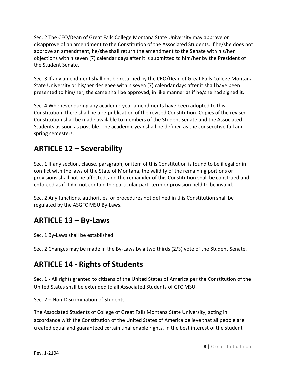Sec. 2 The CEO/Dean of Great Falls College Montana State University may approve or disapprove of an amendment to the Constitution of the Associated Students. If he/she does not approve an amendment, he/she shall return the amendment to the Senate with his/her objections within seven (7) calendar days after it is submitted to him/her by the President of the Student Senate.

Sec. 3 If any amendment shall not be returned by the CEO/Dean of Great Falls College Montana State University or his/her designee within seven (7) calendar days after it shall have been presented to him/her, the same shall be approved, in like manner as if he/she had signed it.

Sec. 4 Whenever during any academic year amendments have been adopted to this Constitution, there shall be a re-publication of the revised Constitution. Copies of the revised Constitution shall be made available to members of the Student Senate and the Associated Students as soon as possible. The academic year shall be defined as the consecutive fall and spring semesters.

### **ARTICLE 12 – Severability**

Sec. 1 If any section, clause, paragraph, or item of this Constitution is found to be illegal or in conflict with the laws of the State of Montana, the validity of the remaining portions or provisions shall not be affected, and the remainder of this Constitution shall be construed and enforced as if it did not contain the particular part, term or provision held to be invalid.

Sec. 2 Any functions, authorities, or procedures not defined in this Constitution shall be regulated by the ASGFC MSU By-Laws.

## **ARTICLE 13 – By-Laws**

Sec. 1 By-Laws shall be established

Sec. 2 Changes may be made in the By-Laws by a two thirds (2/3) vote of the Student Senate.

#### **ARTICLE 14 - Rights of Students**

Sec. 1 - All rights granted to citizens of the United States of America per the Constitution of the United States shall be extended to all Associated Students of GFC MSU.

Sec. 2 – Non-Discrimination of Students -

The Associated Students of College of Great Falls Montana State University, acting in accordance with the Constitution of the United States of America believe that all people are created equal and guaranteed certain unalienable rights. In the best interest of the student